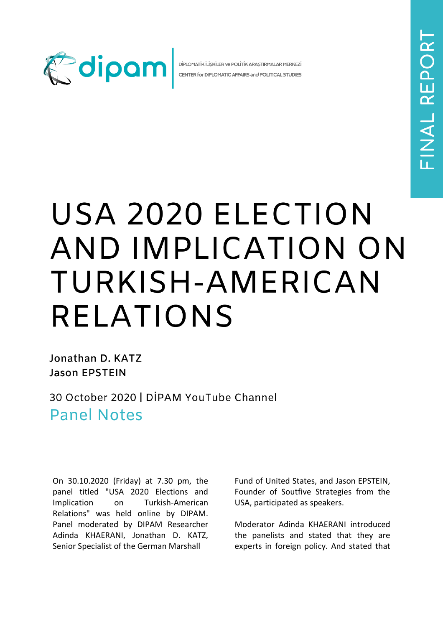

DİPLOMATİK İLİŞKİLER ve POLİTİK ARAŞTIRMALAR MERKEZİ CENTER for DIPLOMATIC AFFAIRS and POLITICAL STUDIES

## USA 2020 ELECTION AND IMPLICATION ON TURKISH-AMERICAN **RELATIONS**

Jonathan D. KATZ **Jason EPSTEIN** 

30 October 2020 | DİPAM YouTube Channel **Panel Notes** 

On 30.10.2020 (Friday) at 7.30 pm, the panel titled "USA 2020 Elections and Implication on Turkish-American Relations" was held online by DIPAM. Panel moderated by DIPAM Researcher Adinda KHAERANI, Jonathan D. KATZ, Senior Specialist of the German Marshall

Fund of United States, and Jason EPSTEIN, Founder of Soutfive Strategies from the USA, participated as speakers.

Moderator Adinda KHAERANI introduced the panelists and stated that they are experts in foreign policy. And stated that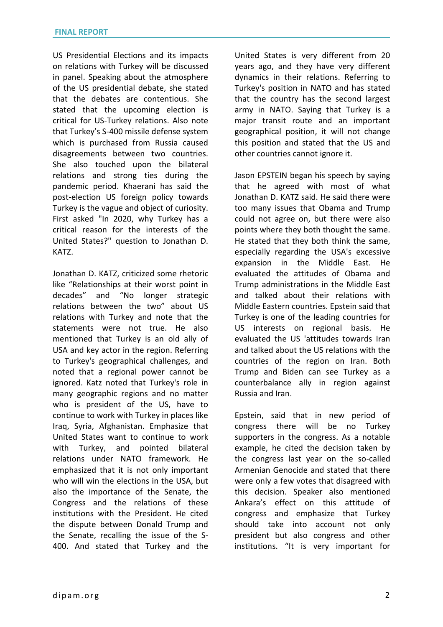US Presidential Elections and its impacts on relations with Turkey will be discussed in panel. Speaking about the atmosphere of the US presidential debate, she stated that the debates are contentious. She stated that the upcoming election is critical for US-Turkey relations. Also note that Turkey's S-400 missile defense system which is purchased from Russia caused disagreements between two countries. She also touched upon the bilateral relations and strong ties during the pandemic period. Khaerani has said the post-election US foreign policy towards Turkey is the vague and object of curiosity. First asked "In 2020, why Turkey has a critical reason for the interests of the United States?" question to Jonathan D. KATZ.

Jonathan D. KATZ, criticized some rhetoric like "Relationships at their worst point in decades" and "No longer strategic relations between the two" about US relations with Turkey and note that the statements were not true. He also mentioned that Turkey is an old ally of USA and key actor in the region. Referring to Turkey's geographical challenges, and noted that a regional power cannot be ignored. Katz noted that Turkey's role in many geographic regions and no matter who is president of the US, have to continue to work with Turkey in places like Iraq, Syria, Afghanistan. Emphasize that United States want to continue to work with Turkey, and pointed bilateral relations under NATO framework. He emphasized that it is not only important who will win the elections in the USA, but also the importance of the Senate, the Congress and the relations of these institutions with the President. He cited the dispute between Donald Trump and the Senate, recalling the issue of the S-400. And stated that Turkey and the

United States is very different from 20 years ago, and they have very different dynamics in their relations. Referring to Turkey's position in NATO and has stated that the country has the second largest army in NATO. Saying that Turkey is a major transit route and an important geographical position, it will not change this position and stated that the US and other countries cannot ignore it.

Jason EPSTEIN began his speech by saying that he agreed with most of what Jonathan D. KATZ said. He said there were too many issues that Obama and Trump could not agree on, but there were also points where they both thought the same. He stated that they both think the same, especially regarding the USA's excessive expansion in the Middle East. He evaluated the attitudes of Obama and Trump administrations in the Middle East and talked about their relations with Middle Eastern countries. Epstein said that Turkey is one of the leading countries for US interests on regional basis. He evaluated the US 'attitudes towards Iran and talked about the US relations with the countries of the region on Iran. Both Trump and Biden can see Turkey as a counterbalance ally in region against Russia and Iran.

Epstein, said that in new period of congress there will be no Turkey supporters in the congress. As a notable example, he cited the decision taken by the congress last year on the so-called Armenian Genocide and stated that there were only a few votes that disagreed with this decision. Speaker also mentioned Ankara's effect on this attitude of congress and emphasize that Turkey should take into account not only president but also congress and other institutions. "It is very important for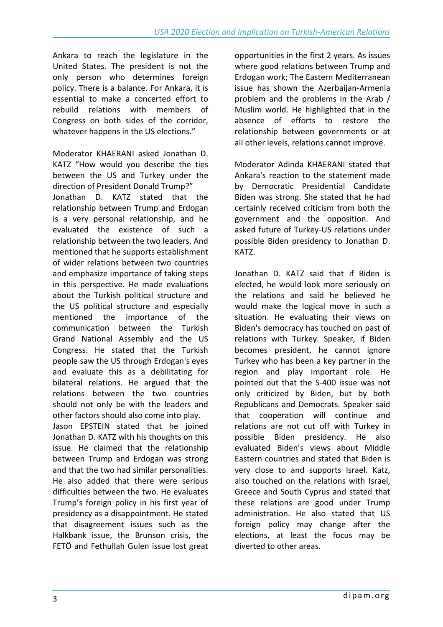Ankara to reach the legislature in the United States. The president is not the only person who determines foreign policy. There is a balance. For Ankara, it is essential to make a concerted effort to rebuild relations with members of Congress on both sides of the corridor, whatever happens in the US elections."

Moderator KHAERANI asked Jonathan D. KATZ "How would you describe the ties between the US and Turkey under the direction of President Donald Trump?" Jonathan D. KATZ stated that the relationship between Trump and Erdogan is a very personal relationship, and he evaluated the existence of such a relationship between the two leaders. And mentioned that he supports establishment of wider relations between two countries and emphasize importance of taking steps in this perspective. He made evaluations about the Turkish political structure and the US political structure and especially mentioned the importance of the communication between the Turkish Grand National Assembly and the US Congress. He stated that the Turkish people saw the US through Erdogan's eyes and evaluate this as a debilitating for bilateral relations. He argued that the relations between the two countries should not only be with the leaders and other factors should also come into play. Jason EPSTEIN stated that he joined Jonathan D. KATZ with his thoughts on this issue. He claimed that the relationship between Trump and Erdogan was strong and that the two had similar personalities. He also added that there were serious difficulties between the two. He evaluates

Trump's foreign policy in his first year of presidency as a disappointment. He stated that disagreement issues such as the Halkbank issue, the Brunson crisis, the FETÖ and Fethullah Gulen issue lost great opportunities in the first 2 years. As issues where good relations between Trump and Erdogan work; The Eastern Mediterranean issue has shown the Azerbaijan-Armenia problem and the problems in the Arab / Muslim world. He highlighted that in the absence of efforts to restore the relationship between governments or at all other levels, relations cannot improve.

Moderator Adinda KHAERANI stated that Ankara's reaction to the statement made by Democratic Presidential Candidate Biden was strong. She stated that he had certainly received criticism from both the government and the opposition. And asked future of Turkey-US relations under possible Biden presidency to Jonathan D. KATZ.

Jonathan D. KATZ said that if Biden is elected, he would look more seriously on the relations and said he believed he would make the logical move in such a situation. He evaluating their views on Biden's democracy has touched on past of relations with Turkey. Speaker, if Biden becomes president, he cannot ignore Turkey who has been a key partner in the region and play important role. He pointed out that the S-400 issue was not only criticized by Biden, but by both Republicans and Democrats. Speaker said that cooperation will continue and relations are not cut off with Turkey in possible Biden presidency. He also evaluated Biden's views about Middle Eastern countries and stated that Biden is very close to and supports Israel. Katz, also touched on the relations with Israel, Greece and South Cyprus and stated that these relations are good under Trump administration. He also stated that US foreign policy may change after the elections, at least the focus may be diverted to other areas.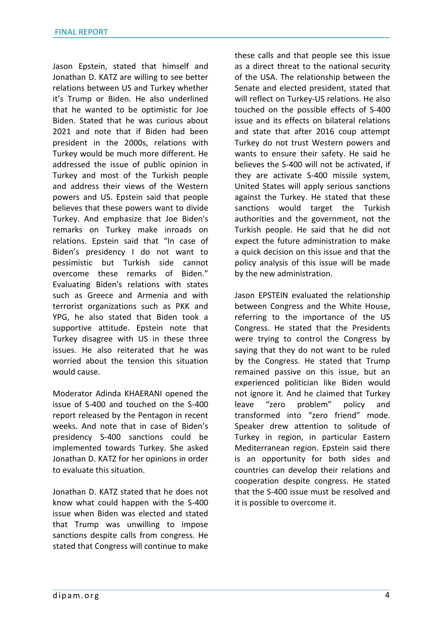Jason Epstein, stated that himself and Jonathan D. KATZ are willing to see better relations between US and Turkey whether it's Trump or Biden. He also underlined that he wanted to be optimistic for Joe Biden. Stated that he was curious about 2021 and note that if Biden had been president in the 2000s, relations with Turkey would be much more different. He addressed the issue of public opinion in Turkey and most of the Turkish people and address their views of the Western powers and US. Epstein said that people believes that these powers want to divide Turkey. And emphasize that Joe Biden's remarks on Turkey make inroads on relations. Epstein said that "In case of Biden's presidency I do not want to pessimistic but Turkish side cannot overcome these remarks of Biden." Evaluating Biden's relations with states such as Greece and Armenia and with terrorist organizations such as PKK and YPG, he also stated that Biden took a supportive attitude. Epstein note that Turkey disagree with US in these three issues. He also reiterated that he was worried about the tension this situation would cause.

Moderator Adinda KHAERANI opened the issue of S-400 and touched on the S-400 report released by the Pentagon in recent weeks. And note that in case of Biden's presidency S-400 sanctions could be implemented towards Turkey. She asked Jonathan D. KATZ for her opinions in order to evaluate this situation.

Jonathan D. KATZ stated that he does not know what could happen with the S-400 issue when Biden was elected and stated that Trump was unwilling to impose sanctions despite calls from congress. He stated that Congress will continue to make

these calls and that people see this issue as a direct threat to the national security of the USA. The relationship between the Senate and elected president, stated that will reflect on Turkey-US relations. He also touched on the possible effects of S-400 issue and its effects on bilateral relations and state that after 2016 coup attempt Turkey do not trust Western powers and wants to ensure their safety. He said he believes the S-400 will not be activated, if they are activate S-400 missile system, United States will apply serious sanctions against the Turkey. He stated that these sanctions would target the Turkish authorities and the government, not the Turkish people. He said that he did not expect the future administration to make a quick decision on this issue and that the policy analysis of this issue will be made by the new administration.

Jason EPSTEIN evaluated the relationship between Congress and the White House, referring to the importance of the US Congress. He stated that the Presidents were trying to control the Congress by saying that they do not want to be ruled by the Congress. He stated that Trump remained passive on this issue, but an experienced politician like Biden would not ignore it. And he claimed that Turkey leave "zero problem" policy and transformed into "zero friend" mode. Speaker drew attention to solitude of Turkey in region, in particular Eastern Mediterranean region. Epstein said there is an opportunity for both sides and countries can develop their relations and cooperation despite congress. He stated that the S-400 issue must be resolved and it is possible to overcome it.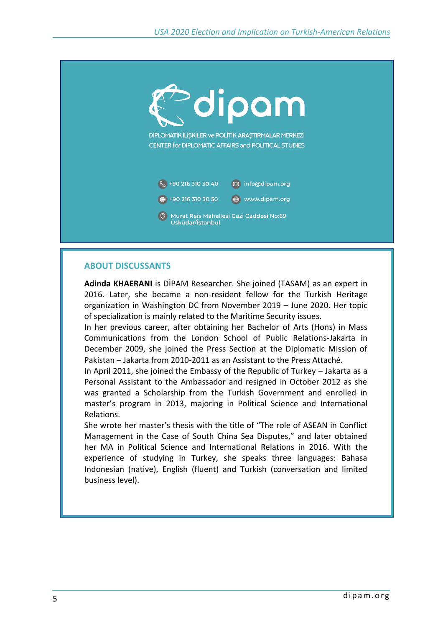

## **ABOUT DISCUSSANTS**

**Adinda KHAERANI** is DİPAM Researcher. She joined (TASAM) as an expert in 2016. Later, she became a non-resident fellow for the Turkish Heritage organization in Washington DC from November 2019 – June 2020. Her topic of specialization is mainly related to the Maritime Security issues.

In her previous career, after obtaining her Bachelor of Arts (Hons) in Mass Communications from the London School of Public Relations-Jakarta in December 2009, she joined the Press Section at the Diplomatic Mission of Pakistan – Jakarta from 2010-2011 as an Assistant to the Press Attaché.

In April 2011, she joined the Embassy of the Republic of Turkey – Jakarta as a Personal Assistant to the Ambassador and resigned in October 2012 as she was granted a Scholarship from the Turkish Government and enrolled in master's program in 2013, majoring in Political Science and International Relations.

She wrote her master's thesis with the title of "The role of ASEAN in Conflict Management in the Case of South China Sea Disputes," and later obtained her MA in Political Science and International Relations in 2016. With the experience of studying in Turkey, she speaks three languages: Bahasa Indonesian (native), English (fluent) and Turkish (conversation and limited business level).